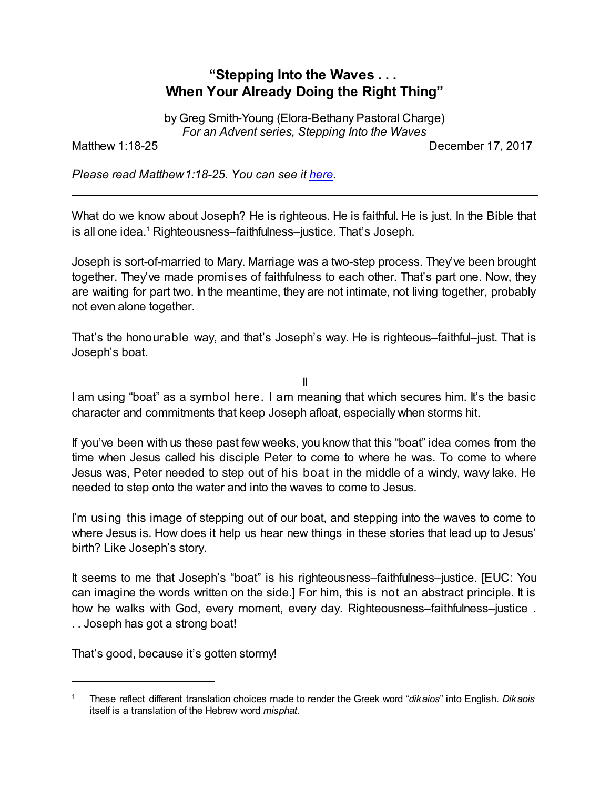## **"Stepping Into the Waves . . . When Your Already Doing the Right Thing"**

by Greg Smith-Young (Elora-Bethany Pastoral Charge) *For an Advent series, Stepping Into the Waves*

Matthew 1:18-25 **December 17, 2017** 

*Please read Matthew1:18-25. You can see it [here](https://www.biblegateway.com/passage/?search=Matthew+1%3A18-25&version=NIV).*

What do we know about Joseph? He is righteous. He is faithful. He is just. In the Bible that is all one idea.<sup>1</sup> Righteousness–faithfulness–justice. That's Joseph.

Joseph is sort-of-married to Mary. Marriage was a two-step process. They've been brought together. They've made promises of faithfulness to each other. That's part one. Now, they are waiting for part two. In the meantime, they are not intimate, not living together, probably not even alone together.

That's the honourable way, and that's Joseph's way. He is righteous–faithful–just. That is Joseph's boat.

II

I am using "boat" as a symbol here. I am meaning that which secures him. It's the basic character and commitments that keep Joseph afloat, especially when storms hit.

If you've been with us these past few weeks, you know that this "boat" idea comes from the time when Jesus called his disciple Peter to come to where he was. To come to where Jesus was, Peter needed to step out of his boat in the middle of a windy, wavy lake. He needed to step onto the water and into the waves to come to Jesus.

I'm using this image of stepping out of our boat, and stepping into the waves to come to where Jesus is. How does it help us hear new things in these stories that lead up to Jesus' birth? Like Joseph's story.

It seems to me that Joseph's "boat" is his righteousness–faithfulness–justice. [EUC: You can imagine the words written on the side.] For him, this is not an abstract principle. It is how he walks with God, every moment, every day. Righteousness–faithfulness–justice . . . Joseph has got a strong boat!

That's good, because it's gotten stormy!

<sup>1</sup> These reflect different translation choices made to render the Greek word "*dikaios*" into English. *Dikaois* itself is a translation of the Hebrew word *misphat*.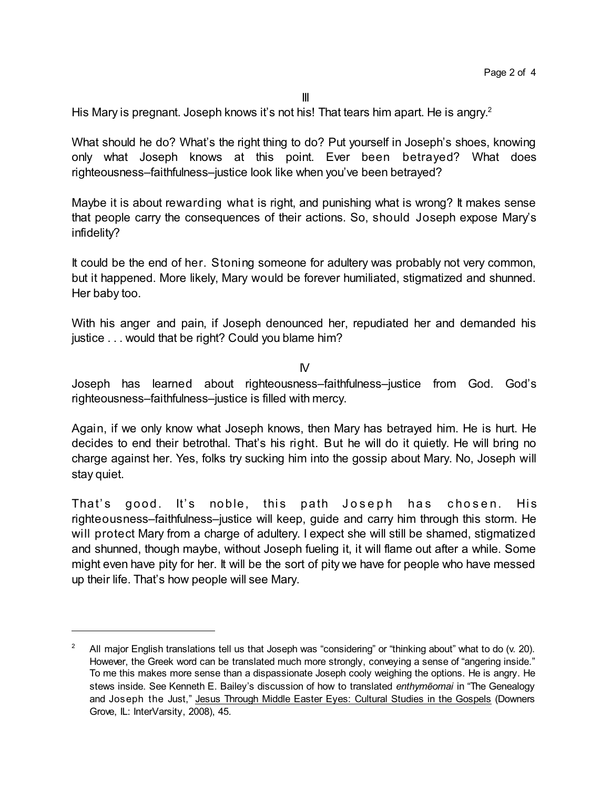His Mary is pregnant. Joseph knows it's not his! That tears him apart. He is angry.<sup>2</sup>

What should he do? What's the right thing to do? Put yourself in Joseph's shoes, knowing only what Joseph knows at this point. Ever been betrayed? What does righteousness–faithfulness–justice look like when you've been betrayed?

Maybe it is about rewarding what is right, and punishing what is wrong? It makes sense that people carry the consequences of their actions. So, should Joseph expose Mary's infidelity?

It could be the end of her. Stoning someone for adultery was probably not very common, but it happened. More likely, Mary would be forever humiliated, stigmatized and shunned. Her baby too.

With his anger and pain, if Joseph denounced her, repudiated her and demanded his justice . . . would that be right? Could you blame him?

 $\overline{M}$ 

Joseph has learned about righteousness–faithfulness–justice from God. God's righteousness–faithfulness–justice is filled with mercy.

Again, if we only know what Joseph knows, then Mary has betrayed him. He is hurt. He decides to end their betrothal. That's his right. But he will do it quietly. He will bring no charge against her. Yes, folks try sucking him into the gossip about Mary. No, Joseph will stay quiet.

That's good. It's noble, this path Joseph has chosen. His righteousness–faithfulness–justice will keep, guide and carry him through this storm. He will protect Mary from a charge of adultery. I expect she will still be shamed, stigmatized and shunned, though maybe, without Joseph fueling it, it will flame out after a while. Some might even have pity for her. It will be the sort of pity we have for people who have messed up their life. That's how people will see Mary.

<sup>2</sup> All major English translations tell us that Joseph was "considering" or "thinking about" what to do (v. 20). However, the Greek word can be translated much more strongly, conveying a sense of "angering inside." To me this makes more sense than a dispassionate Joseph cooly weighing the options. He is angry. He stews inside. See Kenneth E. Bailey's discussion of how to translated *enthymçomai* in "The Genealogy and Joseph the Just," Jesus Through Middle Easter Eyes: Cultural Studies in the Gospels (Downers Grove, IL: InterVarsity, 2008), 45.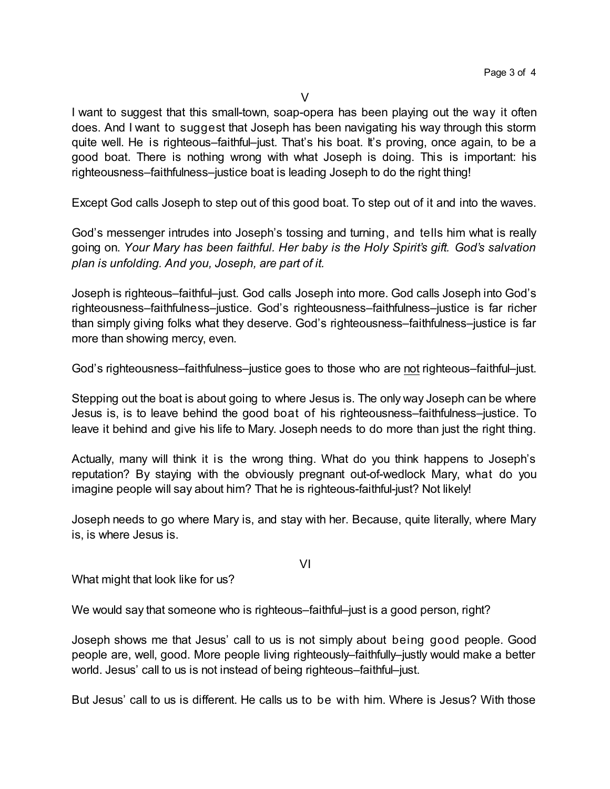I want to suggest that this small-town, soap-opera has been playing out the way it often does. And I want to suggest that Joseph has been navigating his way through this storm quite well. He is righteous–faithful–just. That's his boat. It's proving, once again, to be a good boat. There is nothing wrong with what Joseph is doing. This is important: his righteousness–faithfulness–justice boat is leading Joseph to do the right thing!

Except God calls Joseph to step out of this good boat. To step out of it and into the waves.

God's messenger intrudes into Joseph's tossing and turning, and tells him what is really going on. *Your Mary has been faithful. Her baby is the Holy Spirit's gift. God's salvation plan is unfolding. And you, Joseph, are part of it.*

Joseph is righteous–faithful–just. God calls Joseph into more. God calls Joseph into God's righteousness–faithfulness–justice. God's righteousness–faithfulness–justice is far richer than simply giving folks what they deserve. God's righteousness–faithfulness–justice is far more than showing mercy, even.

God's righteousness–faithfulness–justice goes to those who are not righteous–faithful–just.

Stepping out the boat is about going to where Jesus is. The only way Joseph can be where Jesus is, is to leave behind the good boat of his righteousness–faithfulness–justice. To leave it behind and give his life to Mary. Joseph needs to do more than just the right thing.

Actually, many will think it is the wrong thing. What do you think happens to Joseph's reputation? By staying with the obviously pregnant out-of-wedlock Mary, what do you imagine people will say about him? That he is righteous-faithful-just? Not likely!

Joseph needs to go where Mary is, and stay with her. Because, quite literally, where Mary is, is where Jesus is.

VI

What might that look like for us?

We would say that someone who is righteous–faithful–just is a good person, right?

Joseph shows me that Jesus' call to us is not simply about being good people. Good people are, well, good. More people living righteously–faithfully–justly would make a better world. Jesus' call to us is not instead of being righteous–faithful–just.

But Jesus' call to us is different. He calls us to be with him. Where is Jesus? With those